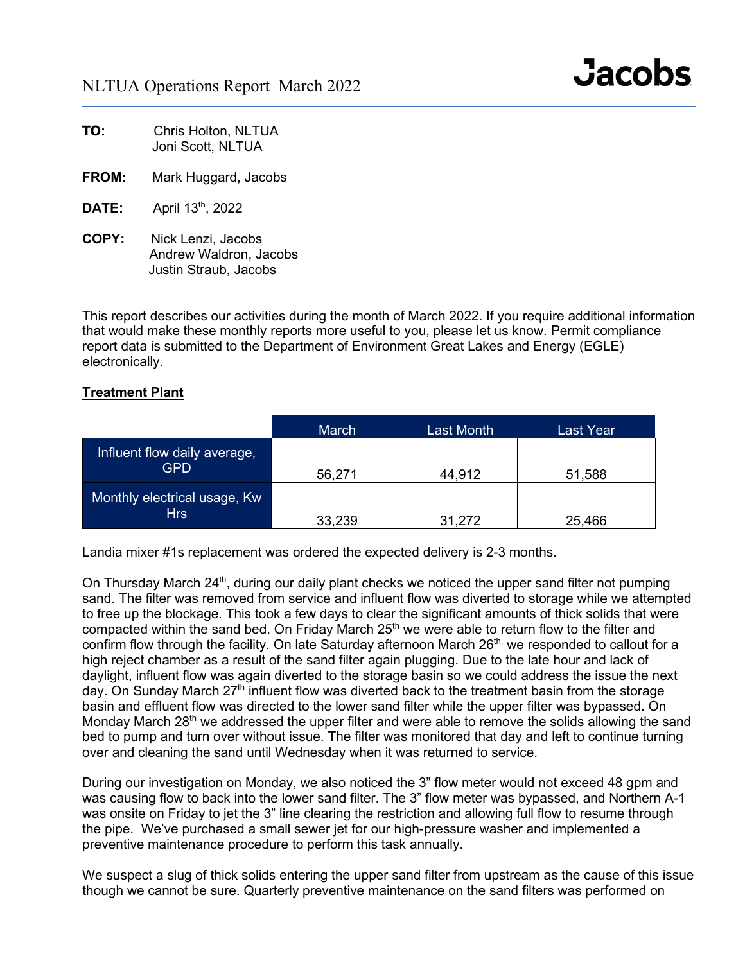| TO: | Chris Holton, NLTUA |  |
|-----|---------------------|--|
|     | Joni Scott, NLTUA   |  |

- **FROM:** Mark Huggard, Jacobs
- **DATE:** April 13<sup>th</sup>, 2022
- **COPY:** Nick Lenzi, Jacobs Andrew Waldron, Jacobs Justin Straub, Jacobs

This report describes our activities during the month of March 2022. If you require additional information that would make these monthly reports more useful to you, please let us know. Permit compliance report data is submitted to the Department of Environment Great Lakes and Energy (EGLE) electronically.

### **Treatment Plant**

|                                            | <b>March</b> | Last Month | Last Year |
|--------------------------------------------|--------------|------------|-----------|
| Influent flow daily average,<br><b>GPD</b> | 56,271       | 44,912     | 51,588    |
| Monthly electrical usage, Kw<br><b>Hrs</b> | 33,239       | 31,272     | 25,466    |

Landia mixer #1s replacement was ordered the expected delivery is 2-3 months.

On Thursday March 24<sup>th</sup>, during our daily plant checks we noticed the upper sand filter not pumping sand. The filter was removed from service and influent flow was diverted to storage while we attempted to free up the blockage. This took a few days to clear the significant amounts of thick solids that were compacted within the sand bed. On Friday March  $25<sup>th</sup>$  we were able to return flow to the filter and confirm flow through the facility. On late Saturday afternoon March 26<sup>th,</sup> we responded to callout for a high reject chamber as a result of the sand filter again plugging. Due to the late hour and lack of daylight, influent flow was again diverted to the storage basin so we could address the issue the next day. On Sunday March 27<sup>th</sup> influent flow was diverted back to the treatment basin from the storage basin and effluent flow was directed to the lower sand filter while the upper filter was bypassed. On Monday March 28<sup>th</sup> we addressed the upper filter and were able to remove the solids allowing the sand bed to pump and turn over without issue. The filter was monitored that day and left to continue turning over and cleaning the sand until Wednesday when it was returned to service.

During our investigation on Monday, we also noticed the 3" flow meter would not exceed 48 gpm and was causing flow to back into the lower sand filter. The 3" flow meter was bypassed, and Northern A-1 was onsite on Friday to jet the 3" line clearing the restriction and allowing full flow to resume through the pipe. We've purchased a small sewer jet for our high-pressure washer and implemented a preventive maintenance procedure to perform this task annually.

We suspect a slug of thick solids entering the upper sand filter from upstream as the cause of this issue though we cannot be sure. Quarterly preventive maintenance on the sand filters was performed on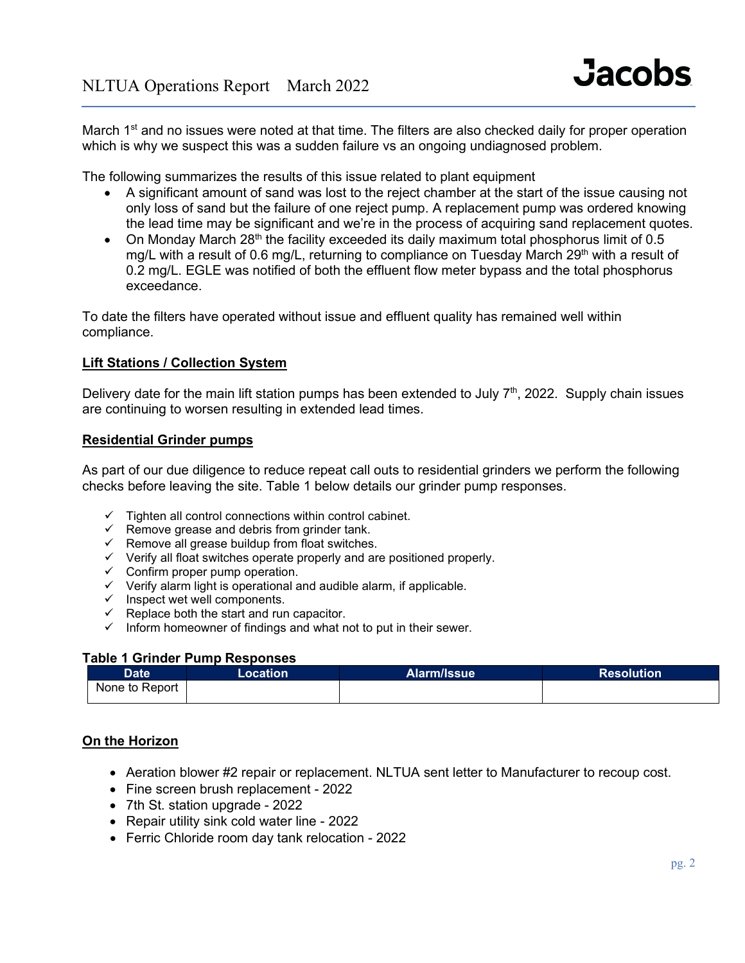March 1<sup>st</sup> and no issues were noted at that time. The filters are also checked daily for proper operation which is why we suspect this was a sudden failure vs an ongoing undiagnosed problem.

The following summarizes the results of this issue related to plant equipment

- A significant amount of sand was lost to the reject chamber at the start of the issue causing not only loss of sand but the failure of one reject pump. A replacement pump was ordered knowing the lead time may be significant and we're in the process of acquiring sand replacement quotes.
- On Monday March 28<sup>th</sup> the facility exceeded its daily maximum total phosphorus limit of 0.5 mg/L with a result of 0.6 mg/L, returning to compliance on Tuesday March 29<sup>th</sup> with a result of 0.2 mg/L. EGLE was notified of both the effluent flow meter bypass and the total phosphorus exceedance.

To date the filters have operated without issue and effluent quality has remained well within compliance.

#### **Lift Stations / Collection System**

Delivery date for the main lift station pumps has been extended to July  $7<sup>th</sup>$ , 2022. Supply chain issues are continuing to worsen resulting in extended lead times.

#### **Residential Grinder pumps**

As part of our due diligence to reduce repeat call outs to residential grinders we perform the following checks before leaving the site. Table 1 below details our grinder pump responses.

- $\checkmark$  Tighten all control connections within control cabinet.
- $\checkmark$  Remove grease and debris from grinder tank.
- $\checkmark$  Remove all grease buildup from float switches.
- $\checkmark$  Verify all float switches operate properly and are positioned properly.
- $\checkmark$  Confirm proper pump operation.
- $\checkmark$  Verify alarm light is operational and audible alarm, if applicable.
- $\checkmark$  Inspect wet well components.
- $\checkmark$  Replace both the start and run capacitor.
- $\checkmark$  Inform homeowner of findings and what not to put in their sewer.

#### **Table 1 Grinder Pump Responses**

| <b>Date</b>    | Location | Alarm/Issue | <b>Resolution</b> |
|----------------|----------|-------------|-------------------|
| None to Report |          |             |                   |

## **On the Horizon**

- Aeration blower #2 repair or replacement. NLTUA sent letter to Manufacturer to recoup cost.
- Fine screen brush replacement 2022
- 7th St. station upgrade 2022
- Repair utility sink cold water line 2022
- Ferric Chloride room day tank relocation 2022